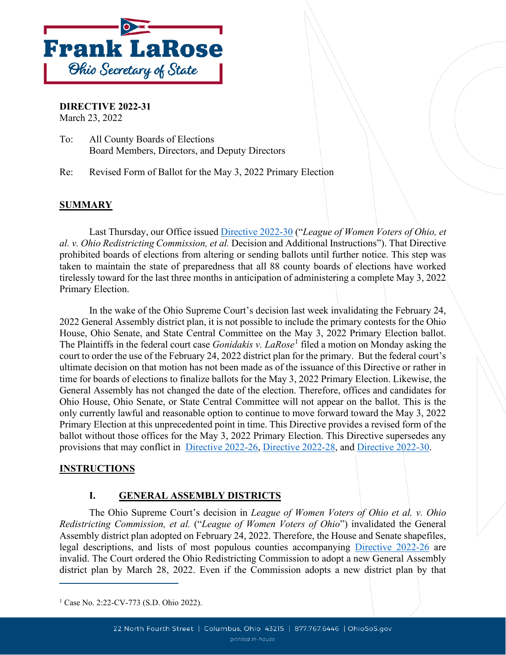

**DIRECTIVE 2022-31** March 23, 2022

To: All County Boards of Elections Board Members, Directors, and Deputy Directors

Re: Revised Form of Ballot for the May 3, 2022 Primary Election

#### **SUMMARY**

Last Thursday, our Office issued [Directive 2022-30](https://www.ohiosos.gov/globalassets/elections/directives/2022/dir2022-30.pdf) ("*League of Women Voters of Ohio, et al. v. Ohio Redistricting Commission, et al.* Decision and Additional Instructions"). That Directive prohibited boards of elections from altering or sending ballots until further notice. This step was taken to maintain the state of preparedness that all 88 county boards of elections have worked tirelessly toward for the last three months in anticipation of administering a complete May 3, 2022 Primary Election.

In the wake of the Ohio Supreme Court's decision last week invalidating the February 24, 2022 General Assembly district plan, it is not possible to include the primary contests for the Ohio House, Ohio Senate, and State Central Committee on the May 3, 2022 Primary Election ballot. The Plaintiffs in the federal court case *Gonidakis v. LaRose*<sup>[1](#page-0-0)</sup> filed a motion on Monday asking the court to order the use of the February 24, 2022 district plan for the primary. But the federal court's ultimate decision on that motion has not been made as of the issuance of this Directive or rather in time for boards of elections to finalize ballots for the May 3, 2022 Primary Election. Likewise, the General Assembly has not changed the date of the election. Therefore, offices and candidates for Ohio House, Ohio Senate, or State Central Committee will not appear on the ballot. This is the only currently lawful and reasonable option to continue to move forward toward the May 3, 2022 Primary Election at this unprecedented point in time. This Directive provides a revised form of the ballot without those offices for the May 3, 2022 Primary Election. This Directive supersedes any provisions that may conflict in [Directive 2022-26,](https://www.ohiosos.gov/globalassets/elections/directives/2022/directive-2022-26.pdf) [Directive 2022-28,](https://www.ohiosos.gov/globalassets/elections/directives/2022/dir2022-28.pdf) and [Directive 2022-30.](https://www.ohiosos.gov/globalassets/elections/directives/2022/dir2022-30.pdf)

#### **INSTRUCTIONS**

#### **I. GENERAL ASSEMBLY DISTRICTS**

The Ohio Supreme Court's decision in *League of Women Voters of Ohio et al. v. Ohio Redistricting Commission, et al.* ("*League of Women Voters of Ohio*") invalidated the General Assembly district plan adopted on February 24, 2022. Therefore, the House and Senate shapefiles, legal descriptions, and lists of most populous counties accompanying [Directive 2022-26](https://www.ohiosos.gov/globalassets/elections/directives/2022/directive-2022-26.pdf) are invalid. The Court ordered the Ohio Redistricting Commission to adopt a new General Assembly district plan by March 28, 2022. Even if the Commission adopts a new district plan by that

<span id="page-0-0"></span><sup>&</sup>lt;sup>1</sup> Case No. 2:22-CV-773 (S.D. Ohio 2022).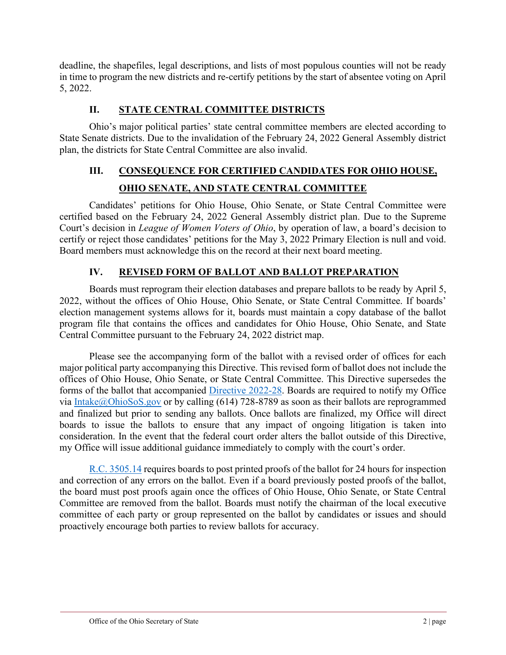deadline, the shapefiles, legal descriptions, and lists of most populous counties will not be ready in time to program the new districts and re-certify petitions by the start of absentee voting on April 5, 2022.

### **II. STATE CENTRAL COMMITTEE DISTRICTS**

Ohio's major political parties' state central committee members are elected according to State Senate districts. Due to the invalidation of the February 24, 2022 General Assembly district plan, the districts for State Central Committee are also invalid.

## **III. CONSEQUENCE FOR CERTIFIED CANDIDATES FOR OHIO HOUSE, OHIO SENATE, AND STATE CENTRAL COMMITTEE**

Candidates' petitions for Ohio House, Ohio Senate, or State Central Committee were certified based on the February 24, 2022 General Assembly district plan. Due to the Supreme Court's decision in *League of Women Voters of Ohio*, by operation of law, a board's decision to certify or reject those candidates' petitions for the May 3, 2022 Primary Election is null and void. Board members must acknowledge this on the record at their next board meeting.

### **IV. REVISED FORM OF BALLOT AND BALLOT PREPARATION**

Boards must reprogram their election databases and prepare ballots to be ready by April 5, 2022, without the offices of Ohio House, Ohio Senate, or State Central Committee. If boards' election management systems allows for it, boards must maintain a copy database of the ballot program file that contains the offices and candidates for Ohio House, Ohio Senate, and State Central Committee pursuant to the February 24, 2022 district map.

Please see the accompanying form of the ballot with a revised order of offices for each major political party accompanying this Directive. This revised form of ballot does not include the offices of Ohio House, Ohio Senate, or State Central Committee. This Directive supersedes the forms of the ballot that accompanied [Directive 2022-28.](https://www.ohiosos.gov/globalassets/elections/directives/2022/dir2022-28.pdf) Boards are required to notify my Office via [Intake@OhioSoS.gov](mailto:Intake@OhioSoS.gov) or by calling (614) 728-8789 as soon as their ballots are reprogrammed and finalized but prior to sending any ballots. Once ballots are finalized, my Office will direct boards to issue the ballots to ensure that any impact of ongoing litigation is taken into consideration. In the event that the federal court order alters the ballot outside of this Directive, my Office will issue additional guidance immediately to comply with the court's order.

[R.C. 3505.14](https://codes.ohio.gov/ohio-revised-code/section-3505.14) requires boards to post printed proofs of the ballot for 24 hours for inspection and correction of any errors on the ballot. Even if a board previously posted proofs of the ballot, the board must post proofs again once the offices of Ohio House, Ohio Senate, or State Central Committee are removed from the ballot. Boards must notify the chairman of the local executive committee of each party or group represented on the ballot by candidates or issues and should proactively encourage both parties to review ballots for accuracy.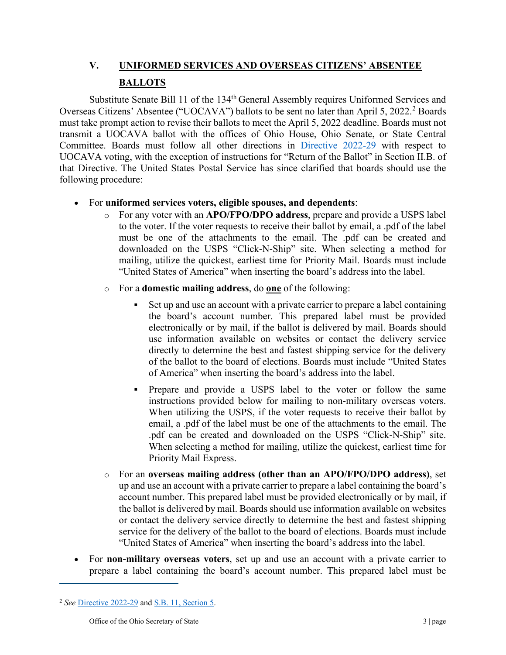# **V. UNIFORMED SERVICES AND OVERSEAS CITIZENS' ABSENTEE BALLOTS**

Substitute Senate Bill 11 of the 134<sup>th</sup> General Assembly requires Uniformed Services and Overseas Citizens' Absentee ("UOCAVA") ballots to be sent no later than April 5, [2](#page-2-0)022.<sup>2</sup> Boards must take prompt action to revise their ballots to meet the April 5, 2022 deadline. Boards must not transmit a UOCAVA ballot with the offices of Ohio House, Ohio Senate, or State Central Committee. Boards must follow all other directions in [Directive 2022-29](https://www.ohiosos.gov/globalassets/elections/directives/2022/dir2022-29.pdf) with respect to UOCAVA voting, with the exception of instructions for "Return of the Ballot" in Section II.B. of that Directive. The United States Postal Service has since clarified that boards should use the following procedure:

#### • For **uniformed services voters, eligible spouses, and dependents**:

- o For any voter with an **APO/FPO/DPO address**, prepare and provide a USPS label to the voter. If the voter requests to receive their ballot by email, a .pdf of the label must be one of the attachments to the email. The .pdf can be created and downloaded on the USPS "Click-N-Ship" site. When selecting a method for mailing, utilize the quickest, earliest time for Priority Mail. Boards must include "United States of America" when inserting the board's address into the label.
- o For a **domestic mailing address**, do **one** of the following:
	- Set up and use an account with a private carrier to prepare a label containing the board's account number. This prepared label must be provided electronically or by mail, if the ballot is delivered by mail. Boards should use information available on websites or contact the delivery service directly to determine the best and fastest shipping service for the delivery of the ballot to the board of elections. Boards must include "United States of America" when inserting the board's address into the label.
	- Prepare and provide a USPS label to the voter or follow the same instructions provided below for mailing to non-military overseas voters. When utilizing the USPS, if the voter requests to receive their ballot by email, a .pdf of the label must be one of the attachments to the email. The .pdf can be created and downloaded on the USPS "Click-N-Ship" site. When selecting a method for mailing, utilize the quickest, earliest time for Priority Mail Express.
- o For an **overseas mailing address (other than an APO/FPO/DPO address)**, set up and use an account with a private carrier to prepare a label containing the board's account number. This prepared label must be provided electronically or by mail, if the ballot is delivered by mail. Boards should use information available on websites or contact the delivery service directly to determine the best and fastest shipping service for the delivery of the ballot to the board of elections. Boards must include "United States of America" when inserting the board's address into the label.
- For **non-military overseas voters**, set up and use an account with a private carrier to prepare a label containing the board's account number. This prepared label must be

<span id="page-2-0"></span><sup>2</sup> *See* [Directive 2022-29](https://www.ohiosos.gov/globalassets/elections/directives/2022/dir2022-29.pdf) an[d S.B. 11, Section 5.](https://search-prod.lis.state.oh.us/solarapi/v1/general_assembly_134/bills/sb11/EN/06/sb11_06_EN?format=pdf)